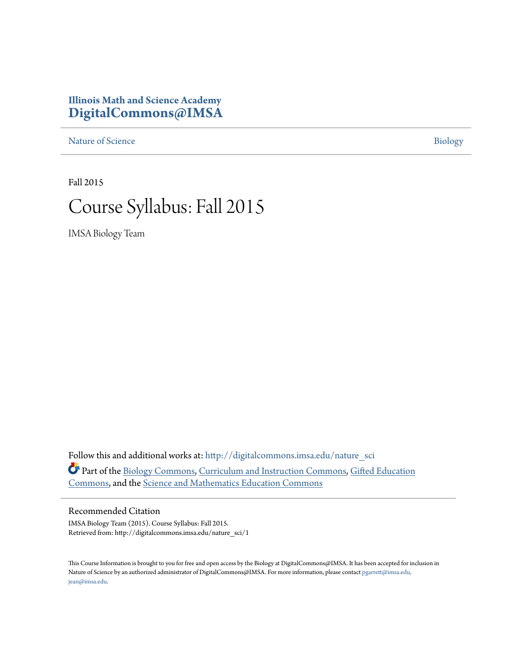## **Illinois Math and Science Academy [DigitalCommons@IMSA](http://digitalcommons.imsa.edu?utm_source=digitalcommons.imsa.edu%2Fnature_sci%2F1&utm_medium=PDF&utm_campaign=PDFCoverPages)**

[Nature of Science](http://digitalcommons.imsa.edu/nature_sci?utm_source=digitalcommons.imsa.edu%2Fnature_sci%2F1&utm_medium=PDF&utm_campaign=PDFCoverPages) [Biology](http://digitalcommons.imsa.edu/biology_tr?utm_source=digitalcommons.imsa.edu%2Fnature_sci%2F1&utm_medium=PDF&utm_campaign=PDFCoverPages)

Fall 2015

# Course Syllabus: Fall 2015

IMSA Biology Team

Follow this and additional works at: [http://digitalcommons.imsa.edu/nature\\_sci](http://digitalcommons.imsa.edu/nature_sci?utm_source=digitalcommons.imsa.edu%2Fnature_sci%2F1&utm_medium=PDF&utm_campaign=PDFCoverPages) Part of the [Biology Commons,](http://network.bepress.com/hgg/discipline/41?utm_source=digitalcommons.imsa.edu%2Fnature_sci%2F1&utm_medium=PDF&utm_campaign=PDFCoverPages) [Curriculum and Instruction Commons](http://network.bepress.com/hgg/discipline/786?utm_source=digitalcommons.imsa.edu%2Fnature_sci%2F1&utm_medium=PDF&utm_campaign=PDFCoverPages), [Gifted Education](http://network.bepress.com/hgg/discipline/1048?utm_source=digitalcommons.imsa.edu%2Fnature_sci%2F1&utm_medium=PDF&utm_campaign=PDFCoverPages) [Commons,](http://network.bepress.com/hgg/discipline/1048?utm_source=digitalcommons.imsa.edu%2Fnature_sci%2F1&utm_medium=PDF&utm_campaign=PDFCoverPages) and the [Science and Mathematics Education Commons](http://network.bepress.com/hgg/discipline/800?utm_source=digitalcommons.imsa.edu%2Fnature_sci%2F1&utm_medium=PDF&utm_campaign=PDFCoverPages)

#### Recommended Citation

IMSA Biology Team (2015). Course Syllabus: Fall 2015. Retrieved from: http://digitalcommons.imsa.edu/nature\_sci/1

This Course Information is brought to you for free and open access by the Biology at DigitalCommons@IMSA. It has been accepted for inclusion in Nature of Science by an authorized administrator of DigitalCommons@IMSA. For more information, please contact [pgarrett@imsa.edu,](mailto:pgarrett@imsa.edu,%20jean@imsa.edu) [jean@imsa.edu.](mailto:pgarrett@imsa.edu,%20jean@imsa.edu)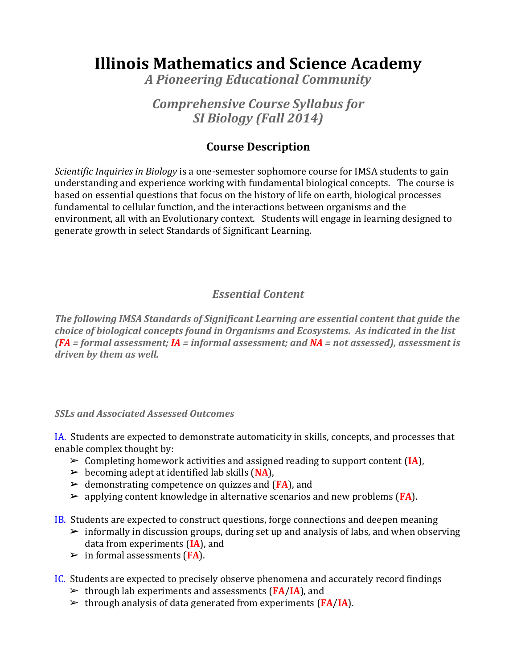## **Illinois Mathematics and Science Academy**

*A Pioneering Educational Community*

## *Comprehensive Course Syllabus for SI Biology (Fall 2014)*

## **Course Description**

*Scientific Inquiries in Biology* is a one-semester sophomore course for IMSA students to gain understanding and experience working with fundamental biological concepts. The course is based on essential questions that focus on the history of life on earth, biological processes fundamental to cellular function, and the interactions between organisms and the environment, all with an Evolutionary context. Students will engage in learning designed to generate growth in select Standards of Significant Learning.

## *Essential Content*

*The following IMSA Standards of Significant Learning are essential content that guide the choice of biological concepts found in Organisms and Ecosystems. As indicated in the list (FA = formal assessment; IA = informal assessment; and NA = not assessed), assessment is driven by them as well.* 

#### *SSLs and Associated Assessed Outcomes*

IA. Students are expected to demonstrate automaticity in skills, concepts, and processes that enable complex thought by:

- ➢ Completing homework activities and assigned reading to support content (**IA**),
- $\triangleright$  becoming adept at identified lab skills (NA),
- ➢ demonstrating competence on quizzes and (**FA**), and
- ➢ applying content knowledge in alternative scenarios and new problems (**FA**).
- IB. Students are expected to construct questions, forge connections and deepen meaning
	- $\triangleright$  informally in discussion groups, during set up and analysis of labs, and when observing data from experiments (**IA**), and
	- ➢ in formal assessments (**FA**).
- IC. Students are expected to precisely observe phenomena and accurately record findings
	- ➢ through lab experiments and assessments (**FA**/**IA**), and
	- ➢ through analysis of data generated from experiments (**FA**/**IA**).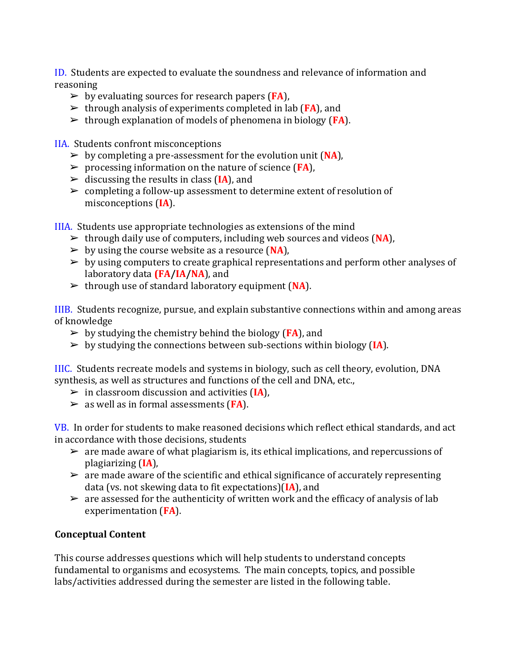ID. Students are expected to evaluate the soundness and relevance of information and reasoning

- ➢ by evaluating sources for research papers (**FA**),
- ➢ through analysis of experiments completed in lab (**FA**), and
- ➢ through explanation of models of phenomena in biology (**FA**).

IIA. Students confront misconceptions

- ➢ by completing a pre-assessment for the evolution unit (**NA**),
- ➢ processing information on the nature of science (**FA**),
- ➢ discussing the results in class (**IA**), and
- ➢ completing a follow-up assessment to determine extent of resolution of misconceptions (**IA**).

IIIA. Students use appropriate technologies as extensions of the mind

- ➢ through daily use of computers, including web sources and videos (**NA**),
- ➢ by using the course website as a resource (**NA**),
- $\triangleright$  by using computers to create graphical representations and perform other analyses of laboratory data **(FA/IA/NA**), and
- ➢ through use of standard laboratory equipment (**NA**).

IIIB. Students recognize, pursue, and explain substantive connections within and among areas of knowledge

- $\triangleright$  by studying the chemistry behind the biology (**FA**), and
- ➢ by studying the connections between sub-sections within biology (**IA**).

IIIC. Students recreate models and systems in biology, such as cell theory, evolution, DNA synthesis, as well as structures and functions of the cell and DNA, etc.,

- ➢ in classroom discussion and activities (**IA**),
- ➢ as well as in formal assessments (**FA**).

VB. In order for students to make reasoned decisions which reflect ethical standards, and act in accordance with those decisions, students

- $\geq$  are made aware of what plagiarism is, its ethical implications, and repercussions of plagiarizing (**IA**),
- $\triangleright$  are made aware of the scientific and ethical significance of accurately representing data (vs. not skewing data to fit expectations)(**IA**), and
- $\triangleright$  are assessed for the authenticity of written work and the efficacy of analysis of lab experimentation (**FA**).

### **Conceptual Content**

This course addresses questions which will help students to understand concepts fundamental to organisms and ecosystems. The main concepts, topics, and possible labs/activities addressed during the semester are listed in the following table.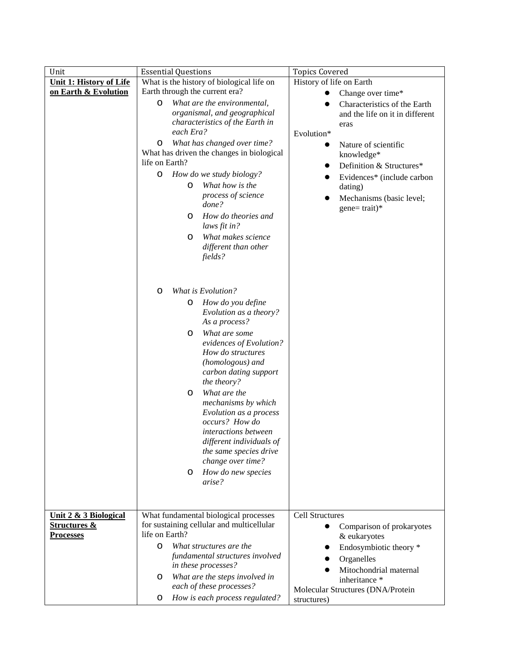| Unit                           | <b>Essential Questions</b>                                  | <b>Topics Covered</b>             |  |  |
|--------------------------------|-------------------------------------------------------------|-----------------------------------|--|--|
| <b>Unit 1: History of Life</b> | What is the history of biological life on                   | History of life on Earth          |  |  |
| on Earth & Evolution           | Earth through the current era?                              | Change over time*                 |  |  |
|                                | 0<br>What are the environmental,                            | Characteristics of the Earth      |  |  |
|                                | organismal, and geographical                                | and the life on it in different   |  |  |
|                                | characteristics of the Earth in                             | eras                              |  |  |
|                                | each Era?                                                   | Evolution*                        |  |  |
|                                | What has changed over time?<br>0                            | Nature of scientific              |  |  |
|                                | What has driven the changes in biological<br>life on Earth? | knowledge*                        |  |  |
|                                |                                                             | Definition & Structures*          |  |  |
|                                | How do we study biology?<br>0<br>What how is the            | Evidences* (include carbon        |  |  |
|                                | 0<br>process of science                                     | dating)                           |  |  |
|                                | done?                                                       | Mechanisms (basic level;          |  |  |
|                                | How do theories and<br>O                                    | $gene = trait)*$                  |  |  |
|                                | laws fit in?                                                |                                   |  |  |
|                                | What makes science<br>O                                     |                                   |  |  |
|                                | different than other                                        |                                   |  |  |
|                                | fields?                                                     |                                   |  |  |
|                                |                                                             |                                   |  |  |
|                                |                                                             |                                   |  |  |
|                                | What is Evolution?<br>o                                     |                                   |  |  |
|                                | How do you define<br>0                                      |                                   |  |  |
|                                | Evolution as a theory?                                      |                                   |  |  |
|                                | As a process?                                               |                                   |  |  |
|                                | What are some<br>O                                          |                                   |  |  |
|                                | evidences of Evolution?                                     |                                   |  |  |
|                                | How do structures<br>(homologous) and                       |                                   |  |  |
|                                | carbon dating support                                       |                                   |  |  |
|                                | the theory?                                                 |                                   |  |  |
|                                | What are the<br>O                                           |                                   |  |  |
|                                | mechanisms by which                                         |                                   |  |  |
|                                | Evolution as a process                                      |                                   |  |  |
|                                | occurs? How do                                              |                                   |  |  |
|                                | interactions between                                        |                                   |  |  |
|                                | different individuals of                                    |                                   |  |  |
|                                | the same species drive                                      |                                   |  |  |
|                                | change over time?                                           |                                   |  |  |
|                                | How do new species<br>0<br>arise?                           |                                   |  |  |
|                                |                                                             |                                   |  |  |
|                                |                                                             |                                   |  |  |
| Unit 2 & 3 Biological          | What fundamental biological processes                       | <b>Cell Structures</b>            |  |  |
| <b>Structures &amp;</b>        | for sustaining cellular and multicellular                   | Comparison of prokaryotes         |  |  |
| <b>Processes</b>               | life on Earth?                                              | & eukaryotes                      |  |  |
|                                | 0<br>What structures are the                                | Endosymbiotic theory *            |  |  |
|                                | fundamental structures involved                             | Organelles                        |  |  |
|                                | in these processes?                                         | Mitochondrial maternal            |  |  |
|                                | What are the steps involved in<br>O                         | inheritance *                     |  |  |
|                                | each of these processes?                                    | Molecular Structures (DNA/Protein |  |  |
|                                | How is each process regulated?<br>0                         | structures)                       |  |  |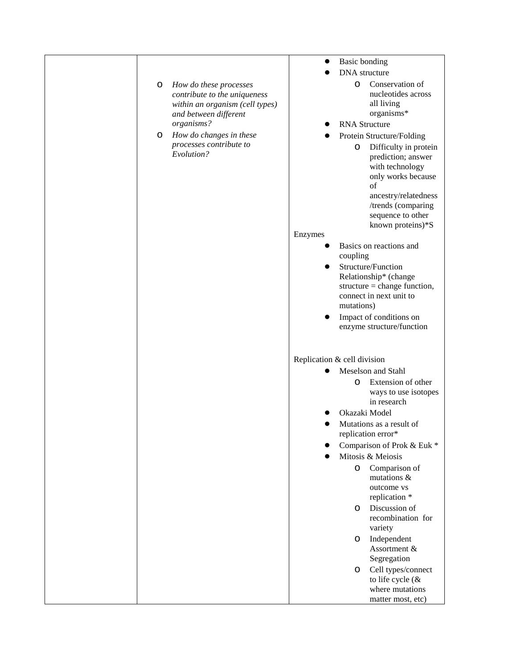|   |                                       |                             | <b>Basic bonding</b>                                                                                                                          |
|---|---------------------------------------|-----------------------------|-----------------------------------------------------------------------------------------------------------------------------------------------|
|   |                                       |                             | DNA structure                                                                                                                                 |
| 0 | How do these processes                |                             | Conservation of<br>0                                                                                                                          |
|   | contribute to the uniqueness          |                             | nucleotides across                                                                                                                            |
|   | within an organism (cell types)       |                             | all living                                                                                                                                    |
|   | and between different                 |                             | organisms*                                                                                                                                    |
|   | organisms?                            |                             | <b>RNA</b> Structure                                                                                                                          |
| 0 | How do changes in these               |                             | Protein Structure/Folding                                                                                                                     |
|   | processes contribute to<br>Evolution? |                             | Difficulty in protein<br>0<br>prediction; answer<br>with technology<br>only works because<br>of<br>ancestry/relatedness<br>/trends (comparing |
|   |                                       |                             | sequence to other                                                                                                                             |
|   |                                       |                             | known proteins)*S                                                                                                                             |
|   |                                       | Enzymes                     |                                                                                                                                               |
|   |                                       |                             | Basics on reactions and<br>coupling                                                                                                           |
|   |                                       | $\bullet$                   | Structure/Function                                                                                                                            |
|   |                                       |                             | Relationship* (change                                                                                                                         |
|   |                                       |                             | structure = change function,                                                                                                                  |
|   |                                       |                             | connect in next unit to<br>mutations)                                                                                                         |
|   |                                       |                             | Impact of conditions on                                                                                                                       |
|   |                                       |                             | enzyme structure/function                                                                                                                     |
|   |                                       | Replication & cell division |                                                                                                                                               |
|   |                                       |                             | Meselson and Stahl                                                                                                                            |
|   |                                       |                             | Extension of other<br>O                                                                                                                       |
|   |                                       |                             | ways to use isotopes                                                                                                                          |
|   |                                       |                             | in research                                                                                                                                   |
|   |                                       |                             | Okazaki Model                                                                                                                                 |
|   |                                       |                             | Mutations as a result of<br>replication error*                                                                                                |
|   |                                       |                             | Comparison of Prok & Euk *                                                                                                                    |
|   |                                       |                             | Mitosis & Meiosis                                                                                                                             |
|   |                                       |                             | Comparison of<br>0<br>mutations $\&$                                                                                                          |
|   |                                       |                             | outcome vs                                                                                                                                    |
|   |                                       |                             | replication *                                                                                                                                 |
|   |                                       |                             | Discussion of<br>O<br>recombination for                                                                                                       |
|   |                                       |                             | variety                                                                                                                                       |
|   |                                       |                             | Independent<br>O                                                                                                                              |
|   |                                       |                             | Assortment &                                                                                                                                  |
|   |                                       |                             | Segregation                                                                                                                                   |
|   |                                       |                             | Cell types/connect<br>O<br>to life cycle $(\&$                                                                                                |
|   |                                       |                             | where mutations                                                                                                                               |
|   |                                       |                             | matter most, etc)                                                                                                                             |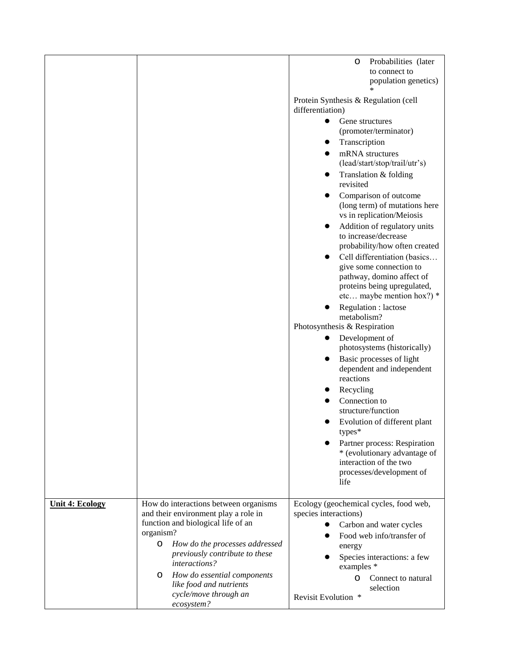|                        |                                                                               | Probabilities (later<br>0                                                             |
|------------------------|-------------------------------------------------------------------------------|---------------------------------------------------------------------------------------|
|                        |                                                                               | to connect to<br>population genetics)                                                 |
|                        |                                                                               |                                                                                       |
|                        |                                                                               | Protein Synthesis & Regulation (cell<br>differentiation)                              |
|                        |                                                                               | Gene structures<br>$\bullet$                                                          |
|                        |                                                                               | (promoter/terminator)                                                                 |
|                        |                                                                               | Transcription                                                                         |
|                        |                                                                               | mRNA structures<br>(lead/start/stop/trail/utr's)                                      |
|                        |                                                                               | Translation & folding<br>revisited                                                    |
|                        |                                                                               | Comparison of outcome<br>(long term) of mutations here<br>vs in replication/Meiosis   |
|                        |                                                                               | Addition of regulatory units<br>to increase/decrease<br>probability/how often created |
|                        |                                                                               | Cell differentiation (basics                                                          |
|                        |                                                                               | give some connection to<br>pathway, domino affect of                                  |
|                        |                                                                               | proteins being upregulated,<br>etc maybe mention hox?) $*$                            |
|                        |                                                                               | Regulation : lactose<br>metabolism?                                                   |
|                        |                                                                               | Photosynthesis & Respiration                                                          |
|                        |                                                                               | Development of<br>photosystems (historically)                                         |
|                        |                                                                               | Basic processes of light                                                              |
|                        |                                                                               | dependent and independent<br>reactions                                                |
|                        |                                                                               | Recycling                                                                             |
|                        |                                                                               | Connection to                                                                         |
|                        |                                                                               | structure/function                                                                    |
|                        |                                                                               | Evolution of different plant<br>types*                                                |
|                        |                                                                               | Partner process: Respiration                                                          |
|                        |                                                                               | * (evolutionary advantage of<br>interaction of the two                                |
|                        |                                                                               | processes/development of                                                              |
|                        |                                                                               | life                                                                                  |
|                        |                                                                               |                                                                                       |
| <b>Unit 4: Ecology</b> | How do interactions between organisms<br>and their environment play a role in | Ecology (geochemical cycles, food web,<br>species interactions)                       |
|                        | function and biological life of an                                            | Carbon and water cycles                                                               |
|                        | organism?                                                                     | Food web info/transfer of                                                             |
|                        | How do the processes addressed<br>O                                           | energy                                                                                |
|                        | previously contribute to these                                                | Species interactions: a few                                                           |
|                        | <i>interactions?</i>                                                          | examples *                                                                            |
|                        | How do essential components<br>O<br>like food and nutrients                   | Connect to natural<br>0<br>selection                                                  |
|                        | cycle/move through an<br>ecosystem?                                           | Revisit Evolution *                                                                   |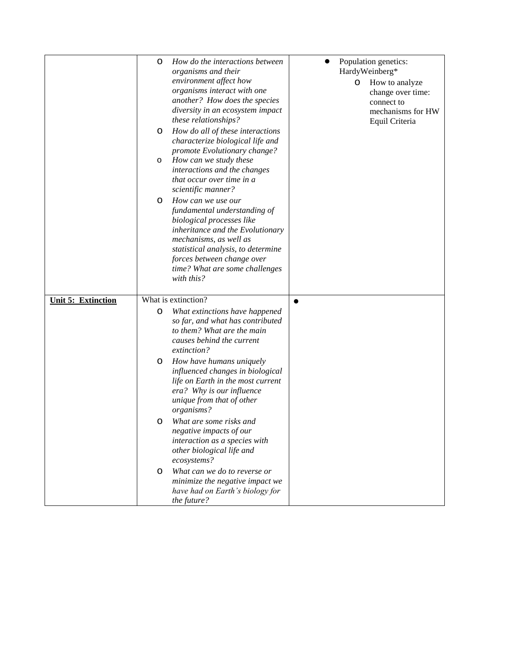|                           | 0<br>0<br>о<br>O | How do the interactions between<br>organisms and their<br>environment affect how<br>organisms interact with one<br>another? How does the species<br>diversity in an ecosystem impact<br>these relationships?<br>How do all of these interactions<br>characterize biological life and<br>promote Evolutionary change?<br>How can we study these<br>interactions and the changes<br>that occur over time in a<br>scientific manner?<br>How can we use our<br>fundamental understanding of<br>biological processes like<br>inheritance and the Evolutionary<br>mechanisms, as well as<br>statistical analysis, to determine<br>forces between change over<br>time? What are some challenges<br>with this? |   | $\mathbf{O}$ | Population genetics:<br>HardyWeinberg*<br>How to analyze<br>change over time:<br>connect to<br>mechanisms for HW<br>Equil Criteria |
|---------------------------|------------------|--------------------------------------------------------------------------------------------------------------------------------------------------------------------------------------------------------------------------------------------------------------------------------------------------------------------------------------------------------------------------------------------------------------------------------------------------------------------------------------------------------------------------------------------------------------------------------------------------------------------------------------------------------------------------------------------------------|---|--------------|------------------------------------------------------------------------------------------------------------------------------------|
|                           |                  |                                                                                                                                                                                                                                                                                                                                                                                                                                                                                                                                                                                                                                                                                                        |   |              |                                                                                                                                    |
| <b>Unit 5: Extinction</b> |                  | What is extinction?                                                                                                                                                                                                                                                                                                                                                                                                                                                                                                                                                                                                                                                                                    | ● |              |                                                                                                                                    |
|                           | 0<br>0<br>0      | What extinctions have happened<br>so far, and what has contributed<br>to them? What are the main<br>causes behind the current<br>extinction?<br>How have humans uniquely<br>influenced changes in biological<br>life on Earth in the most current<br>era? Why is our influence<br>unique from that of other<br>organisms?<br>What are some risks and<br>negative impacts of our<br>interaction as a species with<br>other biological life and                                                                                                                                                                                                                                                          |   |              |                                                                                                                                    |
|                           | O                | ecosystems?<br>What can we do to reverse or<br>minimize the negative impact we<br>have had on Earth's biology for<br>the future?                                                                                                                                                                                                                                                                                                                                                                                                                                                                                                                                                                       |   |              |                                                                                                                                    |